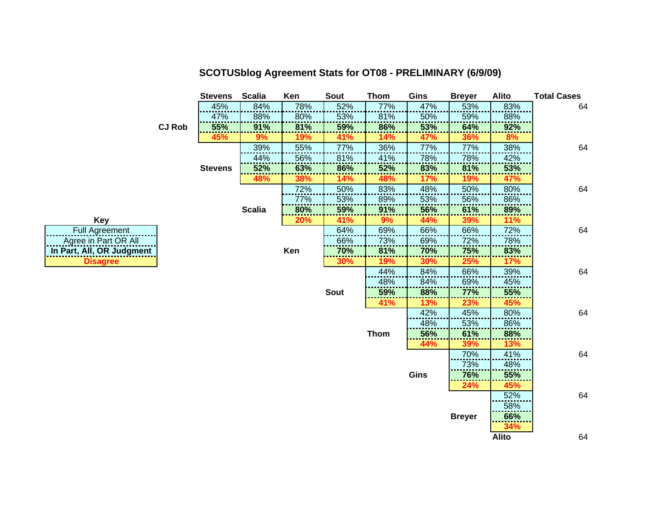|                           |               | <b>Stevens</b> | <b>Scalia</b> | Ken | Sout        | <b>Thom</b> | Gins       | <b>Breyer</b> | Alito        | <b>Total Cases</b> |
|---------------------------|---------------|----------------|---------------|-----|-------------|-------------|------------|---------------|--------------|--------------------|
|                           |               | 45%            | 84%           | 78% | 52%         | 77%         | 47%        | 53%           | 83%          | 64                 |
|                           |               | 47%            | 88%           | 80% | 53%         | 81%         | 50%        | 59%           | 88%          |                    |
|                           | <b>CJ Rob</b> | 55%            | 91%           | 81% | 59%         | 86%         | 53%        | 64%           | 92%          |                    |
|                           |               | 45%            | 9%            | 19% | 41%         | 14%         | 47%        | 36%           | 8%           |                    |
|                           |               |                | 39%           | 55% | 77%         | 36%         | 77%        | 77%           | 38%          | 64                 |
|                           |               |                | 44%           | 56% | 81%         | 41%         | 78%        | 78%           | 42%          |                    |
|                           |               | <b>Stevens</b> | 52%           | 63% | 86%         | 52%         | 83%        | 81%           | 53%          |                    |
|                           |               |                | 48%           | 38% | 14%         | 48%         | 17%        | 19%           | 47%          |                    |
|                           |               |                |               | 72% | 50%         | 83%         | 48%        | 50%           | 80%          | 64                 |
|                           |               |                |               | 77% | 53%         | 89%         | 53%        | 56%           | 86%          |                    |
|                           |               |                | <b>Scalia</b> | 80% | 59%         | 91%         | 56%        | 61%           | 89%          |                    |
| <b>Key</b>                |               |                |               | 20% | 41%         | 9%          | 44%        | 39%           | 11%          |                    |
| <b>Full Agreement</b>     |               |                |               |     | 64%         | 69%         | 66%        | 66%           | 72%          | 64                 |
| Agree in Part OR All      |               |                |               |     | 66%         | 73%         | 69%        | 72%           | 78%          |                    |
| In Part, All, OR Judgment |               |                |               | Ken | 70%         | 81%         | 70%        | 75%           | 83%          |                    |
| <b>Disagree</b>           |               |                |               |     | 30%         | 19%         | <b>30%</b> | <b>25%</b>    | <b>17%</b>   |                    |
|                           |               |                |               |     |             | 44%         | 84%        | 66%           | 39%          | 64                 |
|                           |               |                |               |     |             | 48%         | 84%        | 69%           | 45%          |                    |
|                           |               |                |               |     | <b>Sout</b> | 59%         | 88%        | 77%           | 55%          |                    |
|                           |               |                |               |     |             | 41%         | 13%        | 23%           | 45%          |                    |
|                           |               |                |               |     |             |             | 42%        | 45%           | 80%          | 64                 |
|                           |               |                |               |     |             |             | 48%        | 53%           | 86%          |                    |
|                           |               |                |               |     |             | <b>Thom</b> | 56%        | 61%           | 88%          |                    |
|                           |               |                |               |     |             |             | 44%        | 39%           | 13%          |                    |
|                           |               |                |               |     |             |             |            | 70%           | 41%          | 64                 |
|                           |               |                |               |     |             |             |            | 73%           | 48%          |                    |
|                           |               |                |               |     |             |             | Gins       | 76%           | 55%          |                    |
|                           |               |                |               |     |             |             |            | <b>24%</b>    | 45%          |                    |
|                           |               |                |               |     |             |             |            |               | 52%          | 64                 |
|                           |               |                |               |     |             |             |            |               | 58%          |                    |
|                           |               |                |               |     |             |             |            | <b>Breyer</b> | 66%          |                    |
|                           |               |                |               |     |             |             |            |               | 34%          |                    |
|                           |               |                |               |     |             |             |            |               | <b>Alito</b> | 64                 |

## **SCOTUSblog Agreement Stats for OT08 - PRELIMINARY (6/9/09)**

| Key                       |
|---------------------------|
| <b>Full Agreement</b>     |
| Agree in Part OR All      |
| In Part, All, OR Judgment |
| <b>Disagree</b>           |